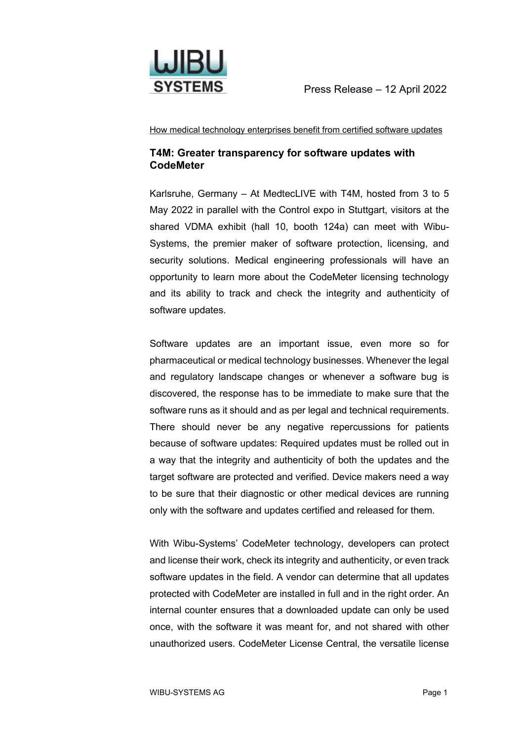

How medical technology enterprises benefit from certified software updates

## **T4M: Greater transparency for software updates with CodeMeter**

Karlsruhe, Germany – At MedtecLIVE with T4M, hosted from 3 to 5 May 2022 in parallel with the Control expo in Stuttgart, visitors at the shared VDMA exhibit (hall 10, booth 124a) can meet with Wibu-Systems, the premier maker of software protection, licensing, and security solutions. Medical engineering professionals will have an opportunity to learn more about the CodeMeter licensing technology and its ability to track and check the integrity and authenticity of software updates.

Software updates are an important issue, even more so for pharmaceutical or medical technology businesses. Whenever the legal and regulatory landscape changes or whenever a software bug is discovered, the response has to be immediate to make sure that the software runs as it should and as per legal and technical requirements. There should never be any negative repercussions for patients because of software updates: Required updates must be rolled out in a way that the integrity and authenticity of both the updates and the target software are protected and verified. Device makers need a way to be sure that their diagnostic or other medical devices are running only with the software and updates certified and released for them.

With Wibu-Systems' CodeMeter technology, developers can protect and license their work, check its integrity and authenticity, or even track software updates in the field. A vendor can determine that all updates protected with CodeMeter are installed in full and in the right order. An internal counter ensures that a downloaded update can only be used once, with the software it was meant for, and not shared with other unauthorized users. CodeMeter License Central, the versatile license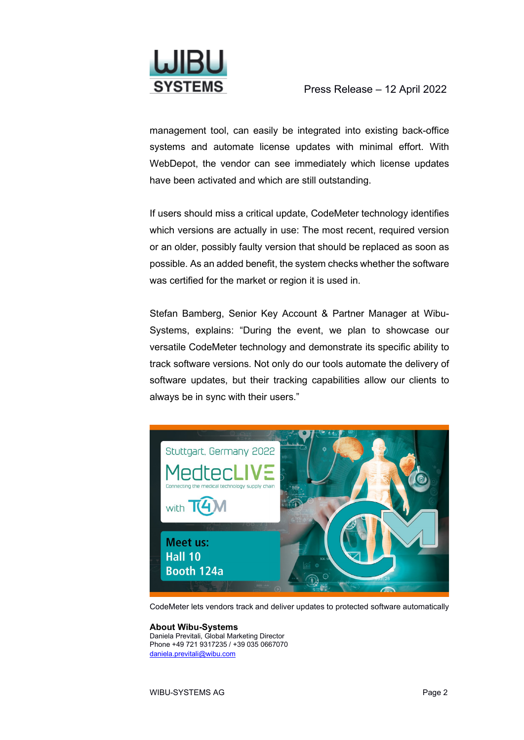

management tool, can easily be integrated into existing back-office systems and automate license updates with minimal effort. With WebDepot, the vendor can see immediately which license updates have been activated and which are still outstanding.

If users should miss a critical update, CodeMeter technology identifies which versions are actually in use: The most recent, required version or an older, possibly faulty version that should be replaced as soon as possible. As an added benefit, the system checks whether the software was certified for the market or region it is used in.

Stefan Bamberg, Senior Key Account & Partner Manager at Wibu-Systems, explains: "During the event, we plan to showcase our versatile CodeMeter technology and demonstrate its specific ability to track software versions. Not only do our tools automate the delivery of software updates, but their tracking capabilities allow our clients to always be in sync with their users."



CodeMeter lets vendors track and deliver updates to protected software automatically

## **About Wibu-Systems**

Daniela Previtali, Global Marketing Director Phone +49 721 9317235 / +39 035 0667070 [daniela.previtali@wibu.com](mailto:daniela.previtali@wibu.com)